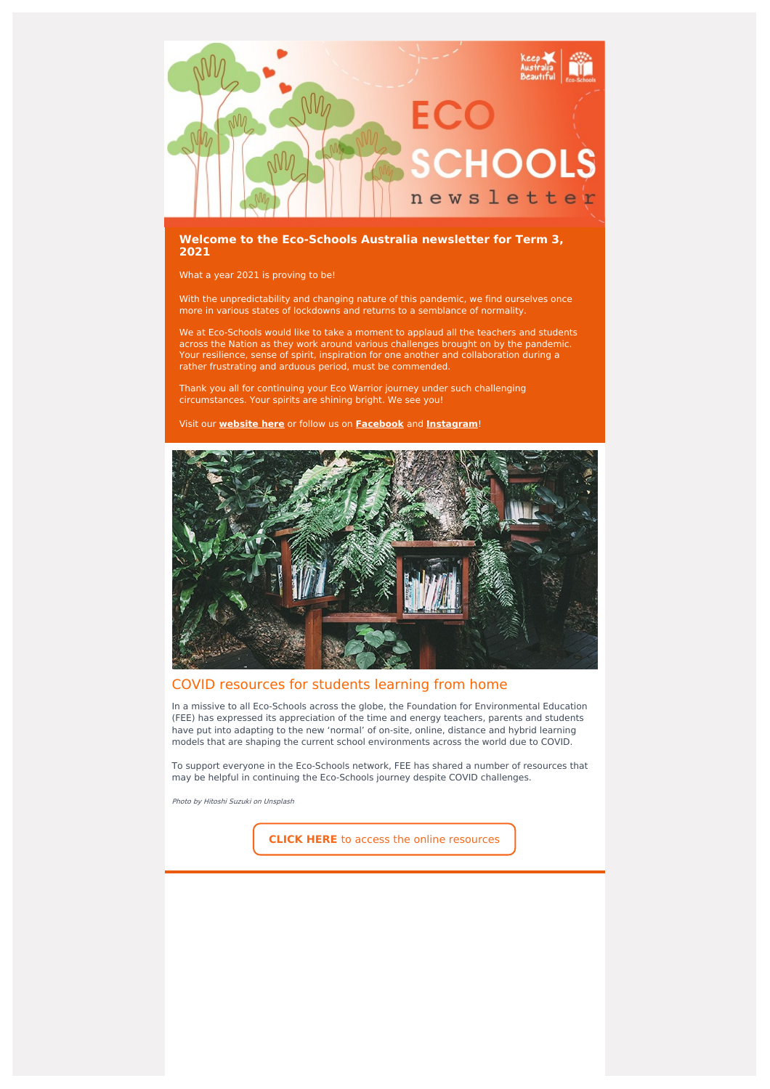

#### **Welcome to the Eco-Schools Australia newsletter for Term 3, 2021**

What a year 2021 is proving to be!

With the unpredictability and changing nature of this pandemic, we find ourselves once more in various states of lockdowns and returns to a semblance of normality.

We at Eco-Schools would like to take a moment to applaud all the teachers and students across the Nation as they work around various challenges brought on by the pandemic. Your resilience, sense of spirit, inspiration for one another and collaboration during a rather frustrating and arduous period, must be commended.

Thank you all for continuing your Eco Warrior journey under such challenging circumstances. Your spirits are shining bright. We see you!

Visit our **[website](http://www.eco-schools.org.au/) here** or follow us on **[Facebook](https://www.facebook.com/ecoschoolsaustralia/)** and **[Instagram](https://www.instagram.com/ecoschoolsaustralia/?hl=en)**!



## COVID resources for students learning from home

In a missive to all Eco-Schools across the globe, the Foundation for Environmental Education (FEE) has expressed its appreciation of the time and energy teachers, parents and students have put into adapting to the new 'normal' of on-site, online, distance and hybrid learning models that are shaping the current school environments across the world due to COVID.

To support everyone in the Eco-Schools network, FEE has shared a number of resources that may be helpful in continuing the Eco-Schools journey despite COVID challenges.

Photo by Hitoshi Suzuki on Unsplash

**CLICK HERE** to access the online [resources](https://www.fee.global/covid-19-resources)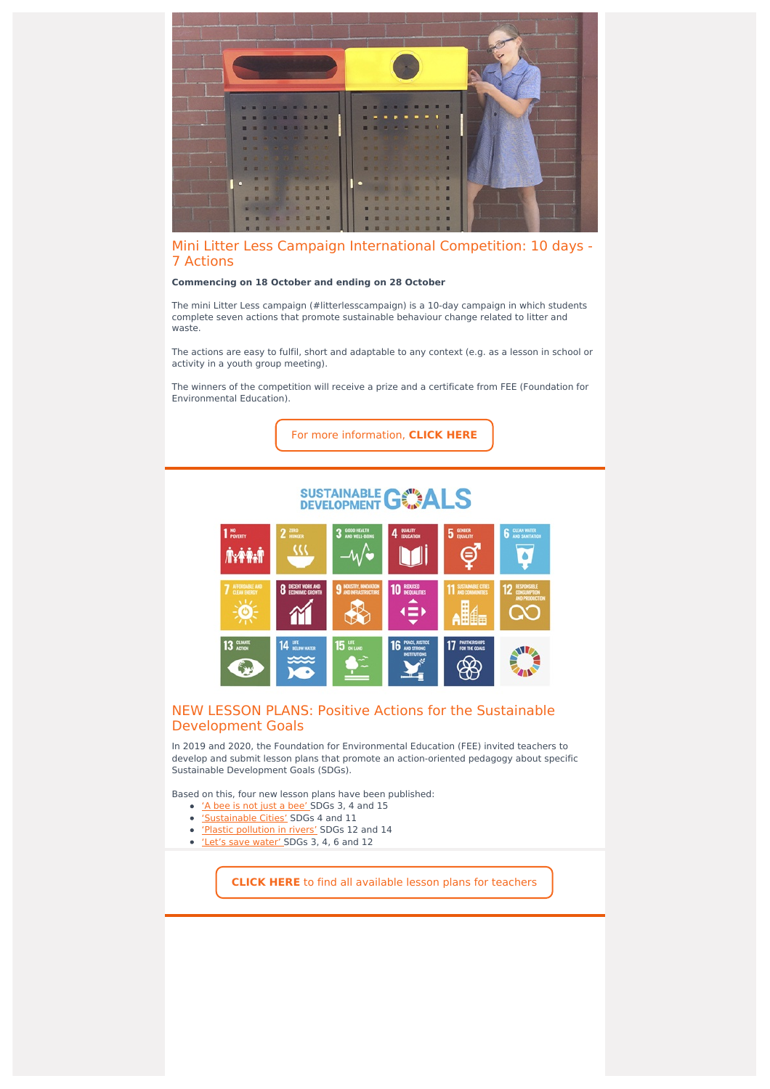

# Mini Litter Less Campaign International Competition: 10 days - 7 Actions

#### **Commencing on 18 October and ending on 28 October**

The mini Litter Less campaign (#litterlesscampaign) is a 10-day campaign in which students complete seven actions that promote sustainable behaviour change related to litter and waste.

The actions are easy to fulfil, short and adaptable to any context (e.g. as a lesson in school or activity in a youth group meeting).

The winners of the competition will receive a prize and a certificate from FEE (Foundation for Environmental Education).

For more [information,](https://www.eco-schools.org.au/new-mini-litter-less-campaign-international-competition) **CLICK HERE**

# **SUSTAINABLE GOALS**



## NEW LESSON PLANS: Positive Actions for the Sustainable Development Goals

In 2019 and 2020, the Foundation for Environmental Education (FEE) invited teachers to develop and submit lesson plans that promote an action-oriented pedagogy about specific Sustainable Development Goals (SDGs).

Based on this, four new lesson plans have been published:

- 'A bee is not just a [bee'](https://fee-international.us5.list-manage.com/track/click?u=ed6033a1253d44bd01f161995&id=04fc492aeb&e=77bfa5a5f2) SDGs 3, 4 and 15
- ['Sustainable](https://fee-international.us5.list-manage.com/track/click?u=ed6033a1253d44bd01f161995&id=ae638a13c1&e=77bfa5a5f2) Cities' SDGs 4 and 11
- 'Plastic [pollution](https://fee-international.us5.list-manage.com/track/click?u=ed6033a1253d44bd01f161995&id=70e752bae8&e=77bfa5a5f2) in rivers' SDGs 12 and 14
- 'Let's save [water'](https://fee-international.us5.list-manage.com/track/click?u=ed6033a1253d44bd01f161995&id=bab87cc539&e=77bfa5a5f2) SDGs 3, 4, 6 and 12

**CLICK HERE** to find all [available](https://fee-international.us5.list-manage.com/track/click?u=ed6033a1253d44bd01f161995&id=9b680784eb&e=77bfa5a5f2) lesson plans for teachers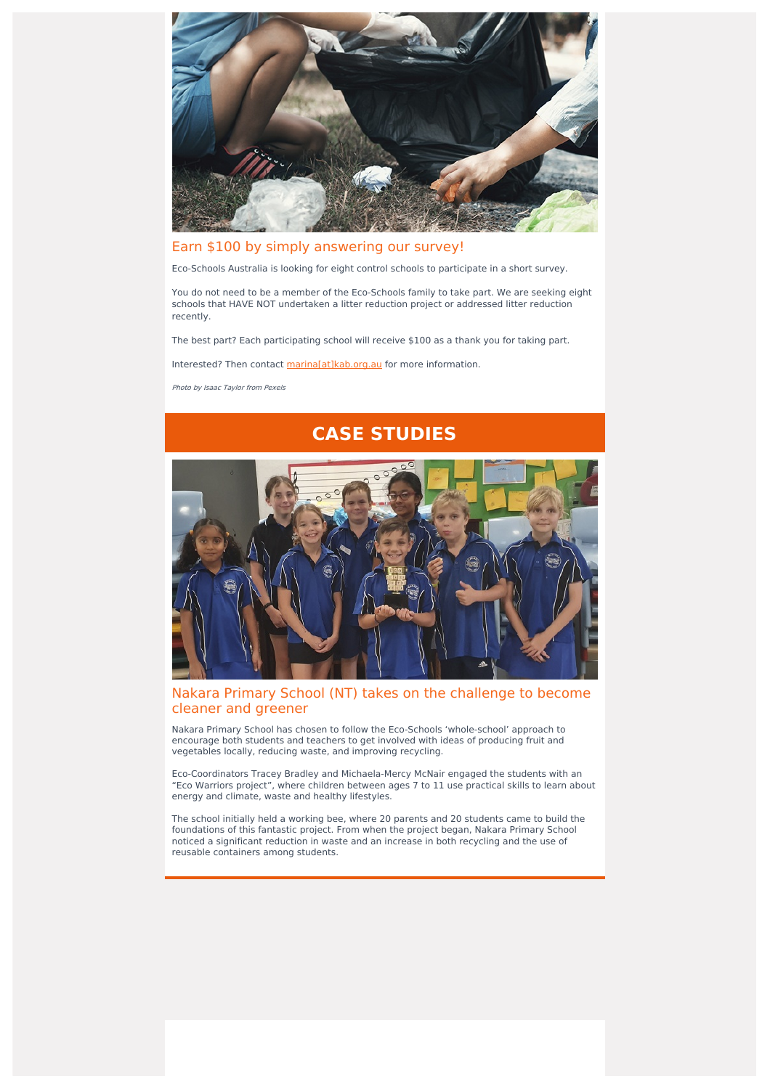

# Earn \$100 by simply answering our survey!

Eco-Schools Australia is looking for eight control schools to participate in a short survey.

You do not need to be a member of the Eco-Schools family to take part. We are seeking eight schools that HAVE NOT undertaken a litter reduction project or addressed litter reduction recently.

The best part? Each participating school will receive \$100 as a thank you for taking part.

Interested? Then contact [marina\[at\]kab.org.au](mailto:marina@kab.org.au) for more information.

Photo by Isaac Taylor from Pexels

# **CASE STUDIES**

# Nakara Primary School (NT) takes on the challenge to become cleaner and greener

Nakara Primary School has chosen to follow the Eco-Schools 'whole-school' approach to encourage both students and teachers to get involved with ideas of producing fruit and vegetables locally, reducing waste, and improving recycling.

Eco-Coordinators Tracey Bradley and Michaela-Mercy McNair engaged the students with an "Eco Warriors project", where children between ages 7 to 11 use practical skills to learn about energy and climate, waste and healthy lifestyles.

The school initially held a working bee, where 20 parents and 20 students came to build the foundations of this fantastic project. From when the project began, Nakara Primary School noticed a significant reduction in waste and an increase in both recycling and the use of reusable containers among students.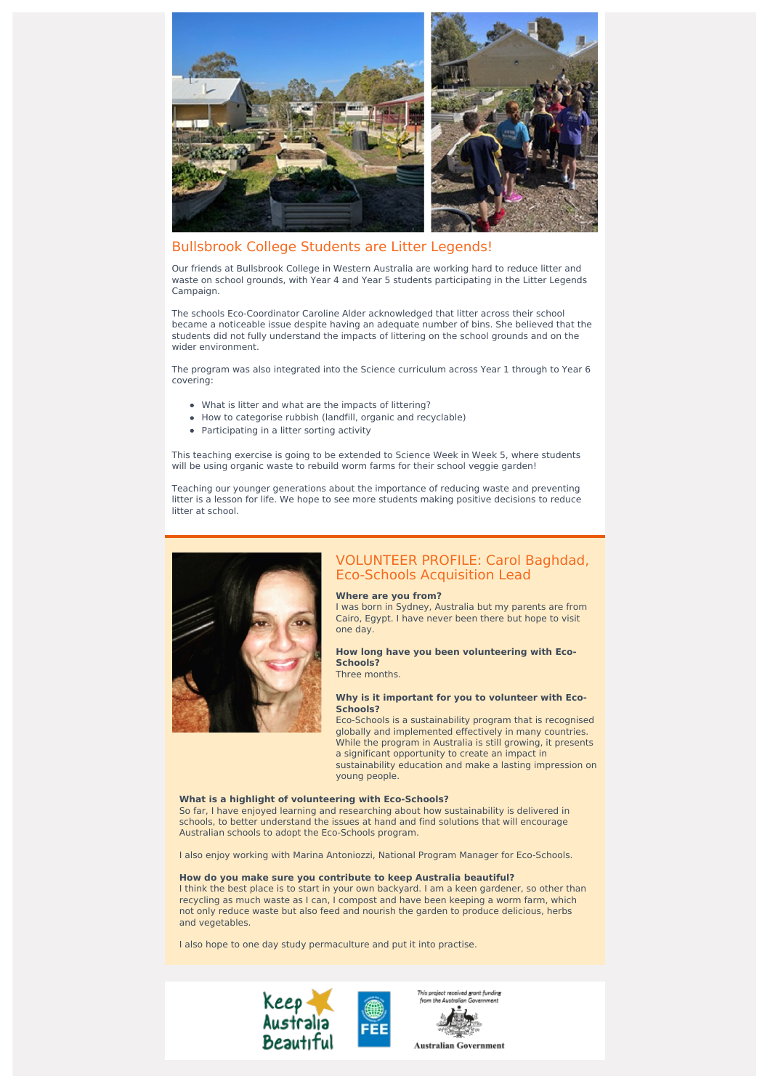

# Bullsbrook College Students are Litter Legends!

Our friends at Bullsbrook College in Western Australia are working hard to reduce litter and waste on school grounds, with Year 4 and Year 5 students participating in the Litter Legends Campaign.

The schools Eco-Coordinator Caroline Alder acknowledged that litter across their school became a noticeable issue despite having an adequate number of bins. She believed that the students did not fully understand the impacts of littering on the school grounds and on the wider environment.

The program was also integrated into the Science curriculum across Year 1 through to Year 6 covering:

- What is litter and what are the impacts of littering?
- How to categorise rubbish (landfill, organic and recyclable)
- Participating in a litter sorting activity

This teaching exercise is going to be extended to Science Week in Week 5, where students will be using organic waste to rebuild worm farms for their school veggie garden!

Teaching our younger generations about the importance of reducing waste and preventing litter is a lesson for life. We hope to see more students making positive decisions to reduce litter at school.



## VOLUNTEER PROFILE: Carol Baghdad, Eco-Schools Acquisition Lead

#### **Where are you from?**

I was born in Sydney, Australia but my parents are from Cairo, Egypt. I have never been there but hope to visit one day.

#### **How long have you been volunteering with Eco-Schools?** Three months.

#### **Why is it important for you to volunteer with Eco-Schools?**

Eco-Schools is a sustainability program that is recognised globally and implemented effectively in many countries. While the program in Australia is still growing, it presents a significant opportunity to create an impact in sustainability education and make a lasting impression on young people.

#### **What is a highlight of volunteering with Eco-Schools?**

So far, I have enjoyed learning and researching about how sustainability is delivered in schools, to better understand the issues at hand and find solutions that will encourage Australian schools to adopt the Eco-Schools program.

I also enjoy working with Marina Antoniozzi, National Program Manager for Eco-Schools.

#### **How do you make sure you contribute to keep Australia beautiful?**

I think the best place is to start in your own backyard. I am a keen gardener, so other than recycling as much waste as I can, I compost and have been keeping a worm farm, which not only reduce waste but also feed and nourish the garden to produce delicious, herbs and vegetables.

I also hope to one day study permaculture and put it into practise.





**Australian Government**